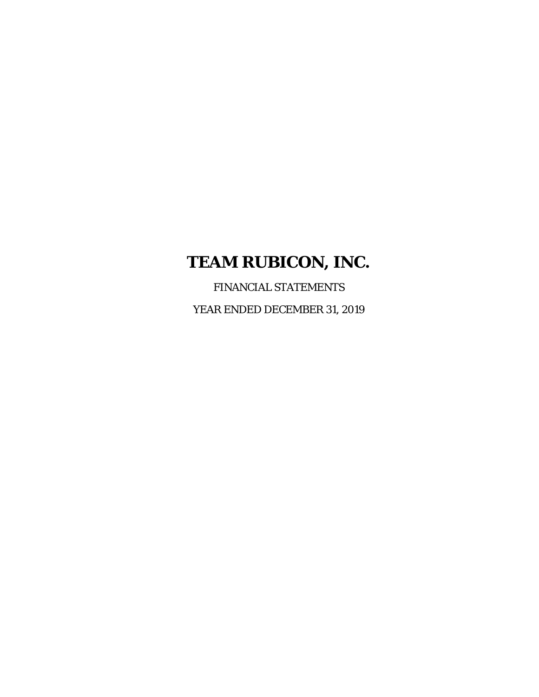FINANCIAL STATEMENTS YEAR ENDED DECEMBER 31, 2019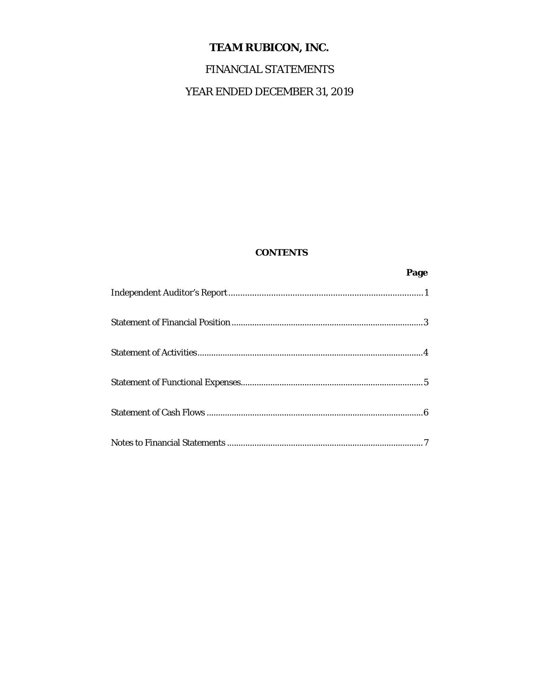## FINANCIAL STATEMENTS

## YEAR ENDED DECEMBER 31, 2019

## **CONTENTS**

| Page |
|------|
|      |
|      |
|      |
|      |
|      |
|      |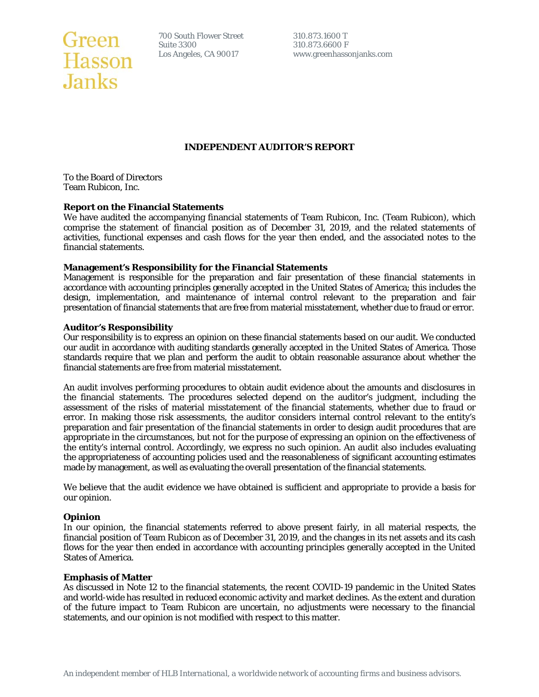# Green <br>
Suite 3300<br>
Hasson Los Angeles, CA 90017 **Janks**

700 South Flower Street 310.873.1600 T<br>Suite 3300 310.873.6600 F

www.greenhassonjanks.com

## **INDEPENDENT AUDITOR'S REPORT**

To the Board of Directors Team Rubicon, Inc.

#### **Report on the Financial Statements**

We have audited the accompanying financial statements of Team Rubicon, Inc. (Team Rubicon), which comprise the statement of financial position as of December 31, 2019, and the related statements of activities, functional expenses and cash flows for the year then ended, and the associated notes to the financial statements.

#### **Management's Responsibility for the Financial Statements**

Management is responsible for the preparation and fair presentation of these financial statements in accordance with accounting principles generally accepted in the United States of America; this includes the design, implementation, and maintenance of internal control relevant to the preparation and fair presentation of financial statements that are free from material misstatement, whether due to fraud or error.

#### **Auditor's Responsibility**

Our responsibility is to express an opinion on these financial statements based on our audit. We conducted our audit in accordance with auditing standards generally accepted in the United States of America. Those standards require that we plan and perform the audit to obtain reasonable assurance about whether the financial statements are free from material misstatement.

An audit involves performing procedures to obtain audit evidence about the amounts and disclosures in the financial statements. The procedures selected depend on the auditor's judgment, including the assessment of the risks of material misstatement of the financial statements, whether due to fraud or error. In making those risk assessments, the auditor considers internal control relevant to the entity's preparation and fair presentation of the financial statements in order to design audit procedures that are appropriate in the circumstances, but not for the purpose of expressing an opinion on the effectiveness of the entity's internal control. Accordingly, we express no such opinion. An audit also includes evaluating the appropriateness of accounting policies used and the reasonableness of significant accounting estimates made by management, as well as evaluating the overall presentation of the financial statements.

We believe that the audit evidence we have obtained is sufficient and appropriate to provide a basis for our opinion.

#### **Opinion**

In our opinion, the financial statements referred to above present fairly, in all material respects, the financial position of Team Rubicon as of December 31, 2019, and the changes in its net assets and its cash flows for the year then ended in accordance with accounting principles generally accepted in the United States of America.

#### **Emphasis of Matter**

As discussed in Note 12 to the financial statements, the recent COVID-19 pandemic in the United States and world-wide has resulted in reduced economic activity and market declines. As the extent and duration of the future impact to Team Rubicon are uncertain, no adjustments were necessary to the financial statements, and our opinion is not modified with respect to this matter.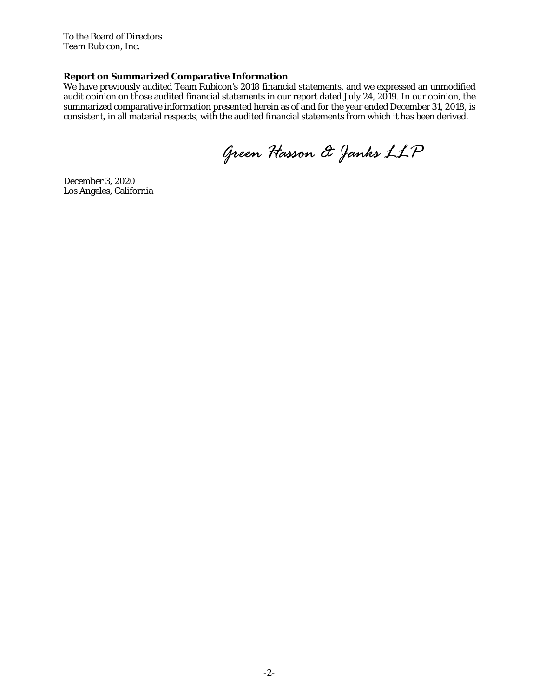To the Board of Directors Team Rubicon, Inc.

## **Report on Summarized Comparative Information**

We have previously audited Team Rubicon's 2018 financial statements, and we expressed an unmodified audit opinion on those audited financial statements in our report dated July 24, 2019. In our opinion, the summarized comparative information presented herein as of and for the year ended December 31, 2018, is consistent, in all material respects, with the audited financial statements from which it has been derived.

*Green Hasson & Janks LLP* 

December 3, 2020 Los Angeles, California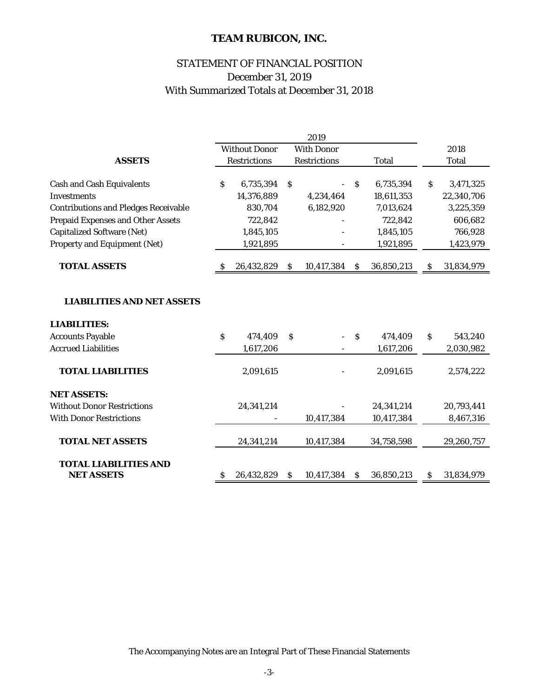## STATEMENT OF FINANCIAL POSITION December 31, 2019 With Summarized Totals at December 31, 2018

|                                             | <b>Without Donor</b><br><b>With Donor</b> |                     |                           |                     |                           |              |     | 2018       |
|---------------------------------------------|-------------------------------------------|---------------------|---------------------------|---------------------|---------------------------|--------------|-----|------------|
| <b>ASSETS</b>                               |                                           | <b>Restrictions</b> |                           | <b>Restrictions</b> |                           | <b>Total</b> |     | Total      |
|                                             |                                           |                     |                           |                     |                           |              |     |            |
| <b>Cash and Cash Equivalents</b>            | \$                                        | 6,735,394           | $\boldsymbol{\mathsf{S}}$ |                     | $\boldsymbol{\mathsf{S}}$ | 6,735,394    | \$. | 3,471,325  |
| <b>Investments</b>                          |                                           | 14,376,889          |                           | 4,234,464           |                           | 18,611,353   |     | 22,340,706 |
| <b>Contributions and Pledges Receivable</b> |                                           | 830,704             |                           | 6,182,920           |                           | 7,013,624    |     | 3,225,359  |
| <b>Prepaid Expenses and Other Assets</b>    |                                           | 722,842             |                           |                     |                           | 722,842      |     | 606,682    |
| <b>Capitalized Software (Net)</b>           |                                           | 1,845,105           |                           |                     |                           | 1,845,105    |     | 766,928    |
| <b>Property and Equipment (Net)</b>         |                                           | 1,921,895           |                           |                     |                           | 1,921,895    |     | 1,423,979  |
| <b>TOTAL ASSETS</b>                         | S                                         | 26,432,829          | S                         | 10,417,384          | $\boldsymbol{\mathsf{S}}$ | 36,850,213   | \$. | 31,834,979 |
| <b>LIABILITIES AND NET ASSETS</b>           |                                           |                     |                           |                     |                           |              |     |            |
| <b>LIABILITIES:</b>                         |                                           |                     |                           |                     |                           |              |     |            |
| <b>Accounts Payable</b>                     | $\mathbf S$                               | 474,409             | S                         |                     | \$                        | 474,409      | S.  | 543,240    |
| <b>Accrued Liabilities</b>                  |                                           | 1,617,206           |                           |                     |                           | 1,617,206    |     | 2,030,982  |
| <b>TOTAL LIABILITIES</b>                    |                                           | 2,091,615           |                           |                     |                           | 2,091,615    |     | 2,574,222  |
| <b>NET ASSETS:</b>                          |                                           |                     |                           |                     |                           |              |     |            |
| <b>Without Donor Restrictions</b>           |                                           | 24,341,214          |                           |                     |                           | 24,341,214   |     | 20,793,441 |
| <b>With Donor Restrictions</b>              |                                           |                     |                           | 10,417,384          |                           | 10,417,384   |     | 8,467,316  |
| <b>TOTAL NET ASSETS</b>                     |                                           | 24,341,214          |                           | 10,417,384          |                           | 34,758,598   |     | 29,260,757 |
| <b>TOTAL LIABILITIES AND</b>                |                                           |                     |                           |                     |                           |              |     |            |
| <b>NET ASSETS</b>                           | S.                                        | 26,432,829          | S.                        | 10,417,384          | <sub>S</sub>              | 36,850,213   | S.  | 31,834,979 |

The Accompanying Notes are an Integral Part of These Financial Statements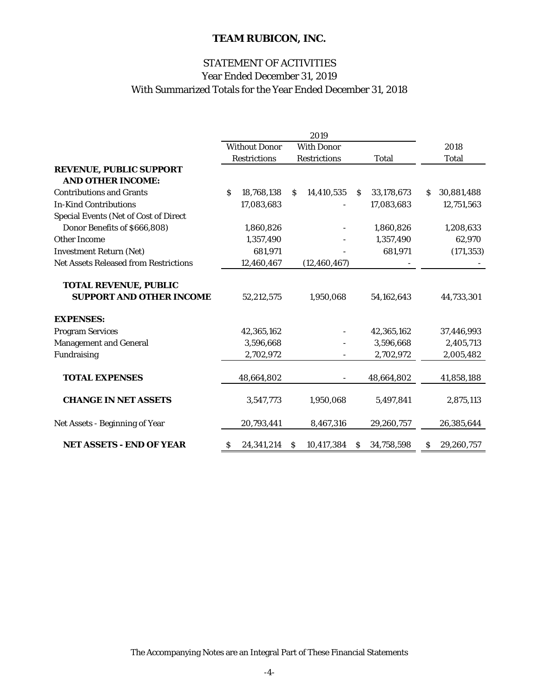## STATEMENT OF ACTIVITIES With Summarized Totals for the Year Ended December 31, 2018 Year Ended December 31, 2019

|                                                                 | <b>Without Donor</b><br><b>With Donor</b> |                     |   |                     |    | 2018         |    |              |
|-----------------------------------------------------------------|-------------------------------------------|---------------------|---|---------------------|----|--------------|----|--------------|
|                                                                 |                                           | <b>Restrictions</b> |   | <b>Restrictions</b> |    | <b>Total</b> |    | <b>Total</b> |
| <b>REVENUE, PUBLIC SUPPORT</b><br><b>AND OTHER INCOME:</b>      |                                           |                     |   |                     |    |              |    |              |
| <b>Contributions and Grants</b>                                 | \$.                                       | 18,768,138          | S | 14,410,535          | S. | 33,178,673   | S. | 30,881,488   |
| <b>In-Kind Contributions</b>                                    |                                           | 17,083,683          |   |                     |    | 17,083,683   |    | 12,751,563   |
| <b>Special Events (Net of Cost of Direct</b>                    |                                           |                     |   |                     |    |              |    |              |
| Donor Benefits of \$666,808)                                    |                                           | 1,860,826           |   |                     |    | 1,860,826    |    | 1,208,633    |
| <b>Other Income</b>                                             |                                           | 1,357,490           |   |                     |    | 1,357,490    |    | 62,970       |
| <b>Investment Return (Net)</b>                                  |                                           | 681,971             |   |                     |    | 681,971      |    | (171, 353)   |
| <b>Net Assets Released from Restrictions</b>                    |                                           | 12,460,467          |   | (12, 460, 467)      |    |              |    |              |
| <b>TOTAL REVENUE, PUBLIC</b><br><b>SUPPORT AND OTHER INCOME</b> |                                           | 52,212,575          |   | 1,950,068           |    | 54,162,643   |    | 44,733,301   |
| <b>EXPENSES:</b>                                                |                                           |                     |   |                     |    |              |    |              |
| <b>Program Services</b>                                         |                                           | 42,365,162          |   |                     |    | 42,365,162   |    | 37,446,993   |
| <b>Management and General</b>                                   |                                           | 3,596,668           |   |                     |    | 3,596,668    |    | 2,405,713    |
| Fundraising                                                     |                                           | 2,702,972           |   |                     |    | 2,702,972    |    | 2,005,482    |
| <b>TOTAL EXPENSES</b>                                           |                                           | 48,664,802          |   |                     |    | 48,664,802   |    | 41,858,188   |
| <b>CHANGE IN NET ASSETS</b>                                     |                                           | 3,547,773           |   | 1,950,068           |    | 5,497,841    |    | 2,875,113    |
| Net Assets - Beginning of Year                                  |                                           | 20,793,441          |   | 8,467,316           |    | 29,260,757   |    | 26,385,644   |
| <b>NET ASSETS - END OF YEAR</b>                                 | S                                         | 24,341,214          | S | 10,417,384          | S  | 34,758,598   | S  | 29,260,757   |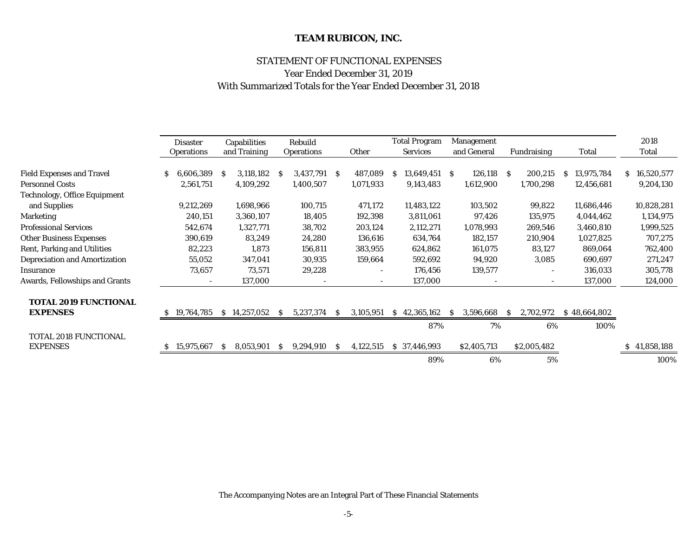## STATEMENT OF FUNCTIONAL EXPENSES

Year Ended December 31, 2019

With Summarized Totals for the Year Ended December 31, 2018

|                                      |   | <b>Disaster</b>   |    | Capabilities |    | Rebuild           |              |           |    | <b>Total Program</b> |   | Management     |     |                          |   |              |    | 2018       |
|--------------------------------------|---|-------------------|----|--------------|----|-------------------|--------------|-----------|----|----------------------|---|----------------|-----|--------------------------|---|--------------|----|------------|
|                                      |   | <b>Operations</b> |    | and Training |    | <b>Operations</b> |              | Other     |    | <b>Services</b>      |   | and General    |     | <b>Fundraising</b>       |   | Total        |    | Total      |
|                                      |   |                   |    |              |    |                   |              |           |    |                      |   |                |     |                          |   |              |    |            |
| <b>Field Expenses and Travel</b>     |   | .606.389          | S  | 3,118,182    | -S | 3,437,791         | <sub>S</sub> | 487,089   | S  | 13,649,451           | S | 126,118        | - S | 200,215                  | S | 13,975,784   | S. | 16,520,577 |
| <b>Personnel Costs</b>               |   | 2,561,751         |    | 4,109,292    |    | 1,400,507         |              | 1,071,933 |    | 9,143,483            |   | 1,612,900      |     | 1,700,298                |   | 12,456,681   |    | 9,204,130  |
| <b>Technology, Office Equipment</b>  |   |                   |    |              |    |                   |              |           |    |                      |   |                |     |                          |   |              |    |            |
| and Supplies                         |   | 9,212,269         |    | 1,698,966    |    | 100,715           |              | 471,172   |    | 11,483,122           |   | 103,502        |     | 99,822                   |   | 11,686,446   |    | 10,828,281 |
| <b>Marketing</b>                     |   | 240,151           |    | 3,360,107    |    | 18,405            |              | 192,398   |    | 3,811,061            |   | 97,426         |     | 135,975                  |   | 4,044,462    |    | 1,134,975  |
| <b>Professional Services</b>         |   | 542,674           |    | 1,327,771    |    | 38,702            |              | 203,124   |    | 2,112,271            |   | 1,078,993      |     | 269,546                  |   | 3,460,810    |    | 1,999,525  |
| <b>Other Business Expenses</b>       |   | 390,619           |    | 83,249       |    | 24,280            |              | 136,616   |    | 634,764              |   | 182,157        |     | 210,904                  |   | 1,027,825    |    | 707,275    |
| Rent, Parking and Utilities          |   | 82,223            |    | 1,873        |    | 156,811           |              | 383,955   |    | 624,862              |   | 161,075        |     | 83,127                   |   | 869,064      |    | 762,400    |
| <b>Depreciation and Amortization</b> |   | 55,052            |    | 347,041      |    | 30,935            |              | 159,664   |    | 592,692              |   | 94,920         |     | 3,085                    |   | 690,697      |    | 271,247    |
| <b>Insurance</b>                     |   | 73,657            |    | 73,571       |    | 29,228            |              | ٠         |    | 176,456              |   | 139,577        |     | $\overline{\phantom{a}}$ |   | 316,033      |    | 305,778    |
| Awards, Fellowships and Grants       |   |                   |    | 137,000      |    |                   |              |           |    | 137,000              |   | $\overline{a}$ |     |                          |   | 137,000      |    | 124,000    |
|                                      |   |                   |    |              |    |                   |              |           |    |                      |   |                |     |                          |   |              |    |            |
| <b>TOTAL 2019 FUNCTIONAL</b>         |   |                   |    |              |    |                   |              |           |    |                      |   |                |     |                          |   |              |    |            |
| <b>EXPENSES</b>                      | S | 19,764,785        |    | \$14,257,052 | -S | 5,237,374         | <sub>S</sub> | 3,105,951 | S. | 42,365,162           | S | 3,596,668      | -S  | 2,702,972                |   | \$48,664,802 |    |            |
|                                      |   |                   |    |              |    |                   |              |           |    | 87%                  |   | 7%             |     | 6%                       |   | 100%         |    |            |
| <b>TOTAL 2018 FUNCTIONAL</b>         |   |                   |    |              |    |                   |              |           |    |                      |   |                |     |                          |   |              |    |            |
| <b>EXPENSES</b>                      |   | 15,975,667        | S. | 8,053,901    | S  | 9,294,910         | S.           | 4,122,515 |    | \$37,446,993         |   | \$2,405,713    |     | \$2,005,482              |   |              | S. | 41,858,188 |
|                                      |   |                   |    |              |    |                   |              |           |    | 89%                  |   | 6%             |     | 5%                       |   |              |    | 100%       |

The Accompanying Notes are an Integral Part of These Financial Statements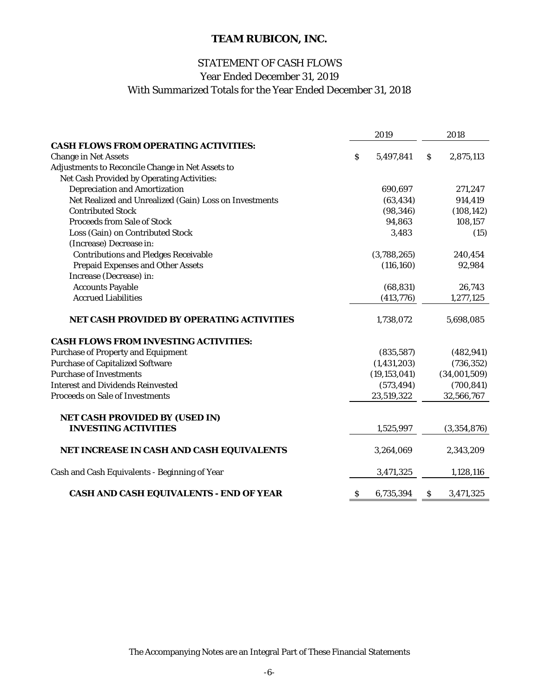## STATEMENT OF CASH FLOWS Year Ended December 31, 2019

## With Summarized Totals for the Year Ended December 31, 2018

|                                                        | 2019         |                |     | 2018         |
|--------------------------------------------------------|--------------|----------------|-----|--------------|
| <b>CASH FLOWS FROM OPERATING ACTIVITIES:</b>           |              |                |     |              |
| <b>Change in Net Assets</b>                            | \$           | 5,497,841      | \$. | 2,875,113    |
| Adjustments to Reconcile Change in Net Assets to       |              |                |     |              |
| Net Cash Provided by Operating Activities:             |              |                |     |              |
| <b>Depreciation and Amortization</b>                   |              | 690,697        |     | 271,247      |
| Net Realized and Unrealized (Gain) Loss on Investments |              | (63, 434)      |     | 914,419      |
| <b>Contributed Stock</b>                               |              | (98, 346)      |     | (108, 142)   |
| <b>Proceeds from Sale of Stock</b>                     |              | 94,863         |     | 108,157      |
| Loss (Gain) on Contributed Stock                       |              | 3,483          |     | (15)         |
| (Increase) Decrease in:                                |              |                |     |              |
| <b>Contributions and Pledges Receivable</b>            |              | (3,788,265)    |     | 240,454      |
| <b>Prepaid Expenses and Other Assets</b>               |              | (116, 160)     |     | 92,984       |
| Increase (Decrease) in:                                |              |                |     |              |
| <b>Accounts Payable</b>                                |              | (68, 831)      |     | 26,743       |
| <b>Accrued Liabilities</b>                             |              | (413, 776)     |     | 1,277,125    |
| <b>NET CASH PROVIDED BY OPERATING ACTIVITIES</b>       |              | 1,738,072      |     | 5,698,085    |
| <b>CASH FLOWS FROM INVESTING ACTIVITIES:</b>           |              |                |     |              |
| <b>Purchase of Property and Equipment</b>              |              | (835, 587)     |     | (482, 941)   |
| <b>Purchase of Capitalized Software</b>                |              | (1, 431, 203)  |     | (736, 352)   |
| <b>Purchase of Investments</b>                         |              | (19, 153, 041) |     | (34,001,509) |
| <b>Interest and Dividends Reinvested</b>               |              | (573, 494)     |     | (700, 841)   |
| <b>Proceeds on Sale of Investments</b>                 |              | 23,519,322     |     | 32,566,767   |
| <b>NET CASH PROVIDED BY (USED IN)</b>                  |              |                |     |              |
| <b>INVESTING ACTIVITIES</b>                            |              | 1,525,997      |     | (3,354,876)  |
| NET INCREASE IN CASH AND CASH EQUIVALENTS              |              | 3,264,069      |     | 2,343,209    |
| Cash and Cash Equivalents - Beginning of Year          |              | 3,471,325      |     | 1,128,116    |
| CASH AND CASH EQUIVALENTS - END OF YEAR                | <sub>S</sub> | 6,735,394      | Ş.  | 3,471,325    |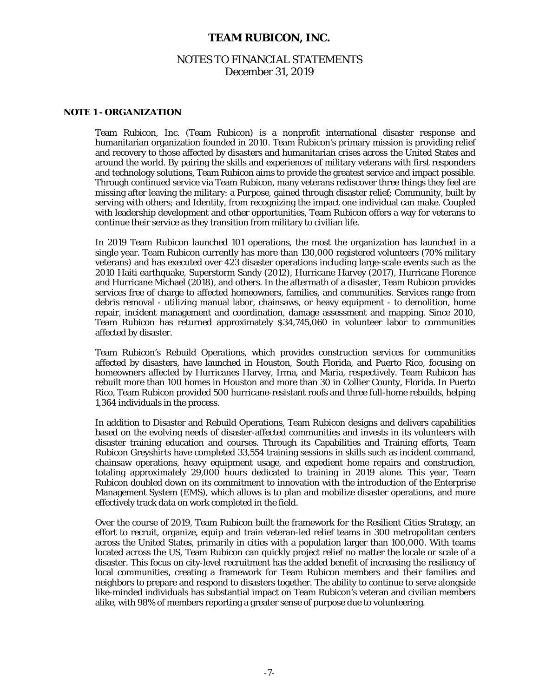## NOTES TO FINANCIAL STATEMENTS December 31, 2019

#### **NOTE 1 - ORGANIZATION**

Team Rubicon, Inc. (Team Rubicon) is a nonprofit international disaster response and humanitarian organization founded in 2010. Team Rubicon's primary mission is providing relief and recovery to those affected by disasters and humanitarian crises across the United States and around the world. By pairing the skills and experiences of military veterans with first responders and technology solutions, Team Rubicon aims to provide the greatest service and impact possible. Through continued service via Team Rubicon, many veterans rediscover three things they feel are missing after leaving the military: a Purpose, gained through disaster relief; Community, built by serving with others; and Identity, from recognizing the impact one individual can make. Coupled with leadership development and other opportunities, Team Rubicon offers a way for veterans to continue their service as they transition from military to civilian life.

In 2019 Team Rubicon launched 101 operations, the most the organization has launched in a single year. Team Rubicon currently has more than 130,000 registered volunteers (70% military veterans) and has executed over 423 disaster operations including large-scale events such as the 2010 Haiti earthquake, Superstorm Sandy (2012), Hurricane Harvey (2017), Hurricane Florence and Hurricane Michael (2018), and others. In the aftermath of a disaster, Team Rubicon provides services free of charge to affected homeowners, families, and communities. Services range from debris removal - utilizing manual labor, chainsaws, or heavy equipment - to demolition, home repair, incident management and coordination, damage assessment and mapping. Since 2010, Team Rubicon has returned approximately \$34,745,060 in volunteer labor to communities affected by disaster.

Team Rubicon's Rebuild Operations, which provides construction services for communities affected by disasters, have launched in Houston, South Florida, and Puerto Rico, focusing on homeowners affected by Hurricanes Harvey, Irma, and Maria, respectively. Team Rubicon has rebuilt more than 100 homes in Houston and more than 30 in Collier County, Florida. In Puerto Rico, Team Rubicon provided 500 hurricane-resistant roofs and three full-home rebuilds, helping 1,364 individuals in the process.

In addition to Disaster and Rebuild Operations, Team Rubicon designs and delivers capabilities based on the evolving needs of disaster-affected communities and invests in its volunteers with disaster training education and courses. Through its Capabilities and Training efforts, Team Rubicon Greyshirts have completed 33,554 training sessions in skills such as incident command, chainsaw operations, heavy equipment usage, and expedient home repairs and construction, totaling approximately 29,000 hours dedicated to training in 2019 alone. This year, Team Rubicon doubled down on its commitment to innovation with the introduction of the Enterprise Management System (EMS), which allows is to plan and mobilize disaster operations, and more effectively track data on work completed in the field.

Over the course of 2019, Team Rubicon built the framework for the Resilient Cities Strategy, an effort to recruit, organize, equip and train veteran-led relief teams in 300 metropolitan centers across the United States, primarily in cities with a population larger than 100,000. With teams located across the US, Team Rubicon can quickly project relief no matter the locale or scale of a disaster. This focus on city-level recruitment has the added benefit of increasing the resiliency of local communities, creating a framework for Team Rubicon members and their families and neighbors to prepare and respond to disasters together. The ability to continue to serve alongside like-minded individuals has substantial impact on Team Rubicon's veteran and civilian members alike, with 98% of members reporting a greater sense of purpose due to volunteering.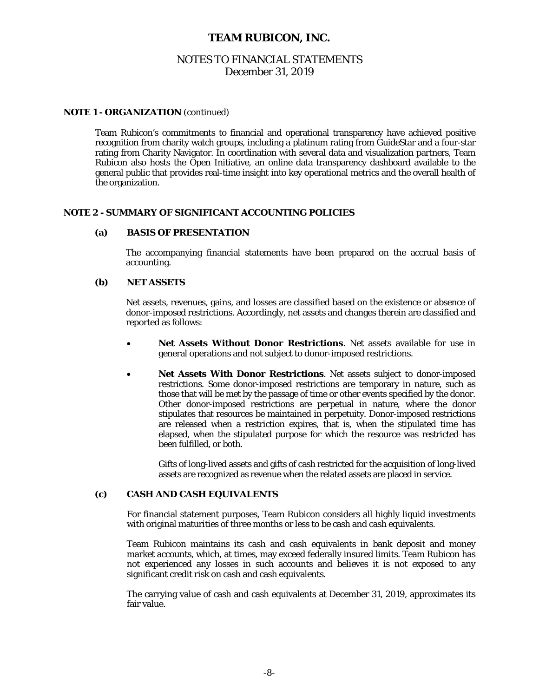## NOTES TO FINANCIAL STATEMENTS December 31, 2019

#### **NOTE 1 - ORGANIZATION** (continued)

Team Rubicon's commitments to financial and operational transparency have achieved positive recognition from charity watch groups, including a platinum rating from GuideStar and a four-star rating from Charity Navigator. In coordination with several data and visualization partners, Team Rubicon also hosts the Open Initiative, an online data transparency dashboard available to the general public that provides real-time insight into key operational metrics and the overall health of the organization.

#### **NOTE 2 - SUMMARY OF SIGNIFICANT ACCOUNTING POLICIES**

#### **(a) BASIS OF PRESENTATION**

 The accompanying financial statements have been prepared on the accrual basis of accounting.

## **(b) NET ASSETS**

 Net assets, revenues, gains, and losses are classified based on the existence or absence of donor-imposed restrictions. Accordingly, net assets and changes therein are classified and reported as follows:

- **Net Assets Without Donor Restrictions**. Net assets available for use in general operations and not subject to donor-imposed restrictions.
- **Net Assets With Donor Restrictions**. Net assets subject to donor-imposed restrictions. Some donor-imposed restrictions are temporary in nature, such as those that will be met by the passage of time or other events specified by the donor. Other donor-imposed restrictions are perpetual in nature, where the donor stipulates that resources be maintained in perpetuity. Donor-imposed restrictions are released when a restriction expires, that is, when the stipulated time has elapsed, when the stipulated purpose for which the resource was restricted has been fulfilled, or both.

Gifts of long-lived assets and gifts of cash restricted for the acquisition of long-lived assets are recognized as revenue when the related assets are placed in service.

## **(c) CASH AND CASH EQUIVALENTS**

For financial statement purposes, Team Rubicon considers all highly liquid investments with original maturities of three months or less to be cash and cash equivalents.

Team Rubicon maintains its cash and cash equivalents in bank deposit and money market accounts, which, at times, may exceed federally insured limits. Team Rubicon has not experienced any losses in such accounts and believes it is not exposed to any significant credit risk on cash and cash equivalents.

The carrying value of cash and cash equivalents at December 31, 2019, approximates its fair value.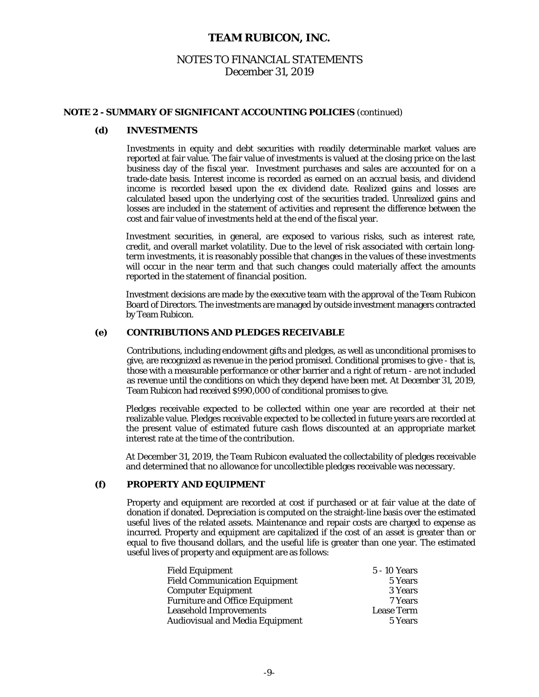## NOTES TO FINANCIAL STATEMENTS December 31, 2019

#### **NOTE 2 - SUMMARY OF SIGNIFICANT ACCOUNTING POLICIES** (continued)

## **(d) INVESTMENTS**

Investments in equity and debt securities with readily determinable market values are reported at fair value. The fair value of investments is valued at the closing price on the last business day of the fiscal year. Investment purchases and sales are accounted for on a trade-date basis. Interest income is recorded as earned on an accrual basis, and dividend income is recorded based upon the ex dividend date. Realized gains and losses are calculated based upon the underlying cost of the securities traded. Unrealized gains and losses are included in the statement of activities and represent the difference between the cost and fair value of investments held at the end of the fiscal year.

Investment securities, in general, are exposed to various risks, such as interest rate, credit, and overall market volatility. Due to the level of risk associated with certain longterm investments, it is reasonably possible that changes in the values of these investments will occur in the near term and that such changes could materially affect the amounts reported in the statement of financial position.

Investment decisions are made by the executive team with the approval of the Team Rubicon Board of Directors. The investments are managed by outside investment managers contracted by Team Rubicon.

#### **(e) CONTRIBUTIONS AND PLEDGES RECEIVABLE**

Contributions, including endowment gifts and pledges, as well as unconditional promises to give, are recognized as revenue in the period promised. Conditional promises to give - that is, those with a measurable performance or other barrier and a right of return - are not included as revenue until the conditions on which they depend have been met. At December 31, 2019, Team Rubicon had received \$990,000 of conditional promises to give.

Pledges receivable expected to be collected within one year are recorded at their net realizable value. Pledges receivable expected to be collected in future years are recorded at the present value of estimated future cash flows discounted at an appropriate market interest rate at the time of the contribution.

At December 31, 2019, the Team Rubicon evaluated the collectability of pledges receivable and determined that no allowance for uncollectible pledges receivable was necessary.

## **(f) PROPERTY AND EQUIPMENT**

Property and equipment are recorded at cost if purchased or at fair value at the date of donation if donated. Depreciation is computed on the straight-line basis over the estimated useful lives of the related assets. Maintenance and repair costs are charged to expense as incurred. Property and equipment are capitalized if the cost of an asset is greater than or equal to five thousand dollars, and the useful life is greater than one year. The estimated useful lives of property and equipment are as follows:

| <b>Field Equipment</b>                 | 5 - 10 Years      |
|----------------------------------------|-------------------|
| <b>Field Communication Equipment</b>   | 5 Years           |
| <b>Computer Equipment</b>              | 3 Years           |
| <b>Furniture and Office Equipment</b>  | 7 Years           |
| <b>Leasehold Improvements</b>          | <b>Lease Term</b> |
| <b>Audiovisual and Media Equipment</b> | 5 Years           |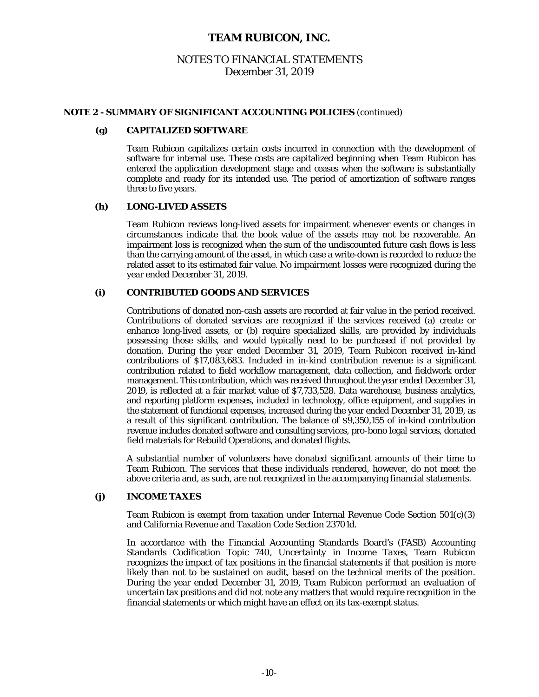## NOTES TO FINANCIAL STATEMENTS December 31, 2019

#### **NOTE 2 - SUMMARY OF SIGNIFICANT ACCOUNTING POLICIES** (continued)

#### **(g) CAPITALIZED SOFTWARE**

Team Rubicon capitalizes certain costs incurred in connection with the development of software for internal use. These costs are capitalized beginning when Team Rubicon has entered the application development stage and ceases when the software is substantially complete and ready for its intended use. The period of amortization of software ranges three to five years.

#### **(h) LONG-LIVED ASSETS**

Team Rubicon reviews long-lived assets for impairment whenever events or changes in circumstances indicate that the book value of the assets may not be recoverable. An impairment loss is recognized when the sum of the undiscounted future cash flows is less than the carrying amount of the asset, in which case a write-down is recorded to reduce the related asset to its estimated fair value. No impairment losses were recognized during the year ended December 31, 2019.

#### **(i) CONTRIBUTED GOODS AND SERVICES**

Contributions of donated non-cash assets are recorded at fair value in the period received. Contributions of donated services are recognized if the services received (a) create or enhance long-lived assets, or (b) require specialized skills, are provided by individuals possessing those skills, and would typically need to be purchased if not provided by donation. During the year ended December 31, 2019, Team Rubicon received in-kind contributions of \$17,083,683. Included in in-kind contribution revenue is a significant contribution related to field workflow management, data collection, and fieldwork order management. This contribution, which was received throughout the year ended December 31, 2019, is reflected at a fair market value of \$7,733,528. Data warehouse, business analytics, and reporting platform expenses, included in technology, office equipment, and supplies in the statement of functional expenses, increased during the year ended December 31, 2019, as a result of this significant contribution. The balance of \$9,350,155 of in-kind contribution revenue includes donated software and consulting services, pro-bono legal services, donated field materials for Rebuild Operations, and donated flights.

 A substantial number of volunteers have donated significant amounts of their time to Team Rubicon. The services that these individuals rendered, however, do not meet the above criteria and, as such, are not recognized in the accompanying financial statements.

#### **(j) INCOME TAXES**

Team Rubicon is exempt from taxation under Internal Revenue Code Section 501(c)(3) and California Revenue and Taxation Code Section 23701d.

In accordance with the Financial Accounting Standards Board's (FASB) Accounting Standards Codification Topic 740, *Uncertainty in Income Taxes*, Team Rubicon recognizes the impact of tax positions in the financial statements if that position is more likely than not to be sustained on audit, based on the technical merits of the position. During the year ended December 31, 2019, Team Rubicon performed an evaluation of uncertain tax positions and did not note any matters that would require recognition in the financial statements or which might have an effect on its tax-exempt status.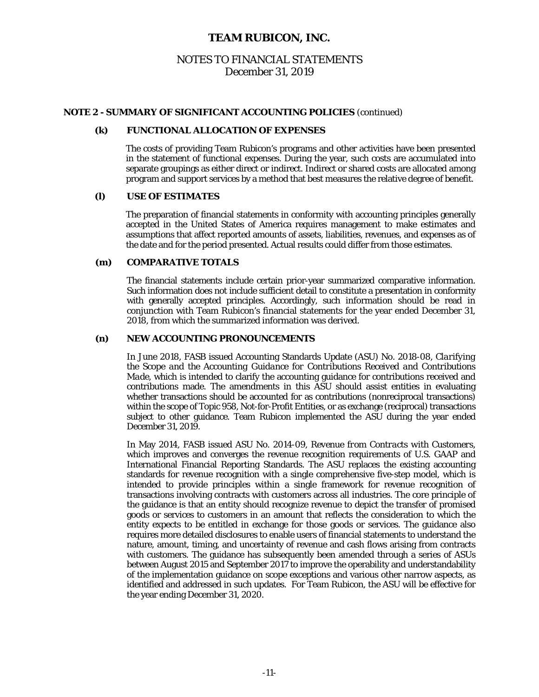## NOTES TO FINANCIAL STATEMENTS December 31, 2019

#### **NOTE 2 - SUMMARY OF SIGNIFICANT ACCOUNTING POLICIES** (continued)

#### **(k) FUNCTIONAL ALLOCATION OF EXPENSES**

 The costs of providing Team Rubicon's programs and other activities have been presented in the statement of functional expenses. During the year, such costs are accumulated into separate groupings as either direct or indirect. Indirect or shared costs are allocated among program and support services by a method that best measures the relative degree of benefit.

#### **(l) USE OF ESTIMATES**

 The preparation of financial statements in conformity with accounting principles generally accepted in the United States of America requires management to make estimates and assumptions that affect reported amounts of assets, liabilities, revenues, and expenses as of the date and for the period presented. Actual results could differ from those estimates.

#### **(m) COMPARATIVE TOTALS**

The financial statements include certain prior-year summarized comparative information. Such information does not include sufficient detail to constitute a presentation in conformity with generally accepted principles. Accordingly, such information should be read in conjunction with Team Rubicon's financial statements for the year ended December 31, 2018, from which the summarized information was derived.

#### **(n) NEW ACCOUNTING PRONOUNCEMENTS**

In June 2018, FASB issued Accounting Standards Update (ASU) No. 2018-08, *Clarifying the Scope and the Accounting Guidance for Contributions Received and Contributions Made*, which is intended to clarify the accounting guidance for contributions received and contributions made. The amendments in this  $\overrightarrow{ASU}$  should assist entities in evaluating whether transactions should be accounted for as contributions (nonreciprocal transactions) within the scope of Topic 958, Not-for-Profit Entities, or as exchange (reciprocal) transactions subject to other guidance. Team Rubicon implemented the ASU during the year ended December 31, 2019.

In May 2014, FASB issued ASU No. 2014-09, *Revenue from Contracts with Customers*, which improves and converges the revenue recognition requirements of U.S. GAAP and International Financial Reporting Standards. The ASU replaces the existing accounting standards for revenue recognition with a single comprehensive five-step model, which is intended to provide principles within a single framework for revenue recognition of transactions involving contracts with customers across all industries. The core principle of the guidance is that an entity should recognize revenue to depict the transfer of promised goods or services to customers in an amount that reflects the consideration to which the entity expects to be entitled in exchange for those goods or services. The guidance also requires more detailed disclosures to enable users of financial statements to understand the nature, amount, timing, and uncertainty of revenue and cash flows arising from contracts with customers. The guidance has subsequently been amended through a series of ASUs between August 2015 and September 2017 to improve the operability and understandability of the implementation guidance on scope exceptions and various other narrow aspects, as identified and addressed in such updates. For Team Rubicon, the ASU will be effective for the year ending December 31, 2020.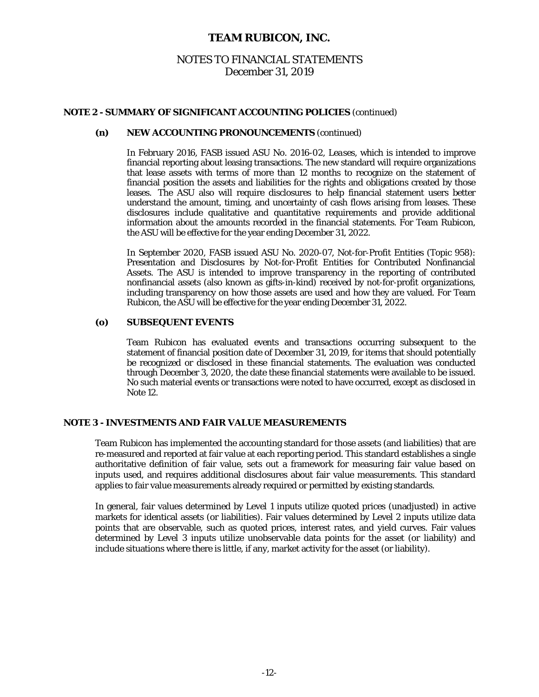## NOTES TO FINANCIAL STATEMENTS December 31, 2019

#### **NOTE 2 - SUMMARY OF SIGNIFICANT ACCOUNTING POLICIES** (continued)

#### **(n) NEW ACCOUNTING PRONOUNCEMENTS** (continued)

In February 2016, FASB issued ASU No. 2016-02, *Leases*, which is intended to improve financial reporting about leasing transactions. The new standard will require organizations that lease assets with terms of more than 12 months to recognize on the statement of financial position the assets and liabilities for the rights and obligations created by those leases. The ASU also will require disclosures to help financial statement users better understand the amount, timing, and uncertainty of cash flows arising from leases. These disclosures include qualitative and quantitative requirements and provide additional information about the amounts recorded in the financial statements. For Team Rubicon, the ASU will be effective for the year ending December 31, 2022.

In September 2020, FASB issued ASU No. 2020-07, Not-for-Profit Entities (Topic 958): Presentation and Disclosures by Not-for-Profit Entities for Contributed Nonfinancial Assets. The ASU is intended to improve transparency in the reporting of contributed nonfinancial assets (also known as gifts-in-kind) received by not-for-profit organizations, including transparency on how those assets are used and how they are valued. For Team Rubicon, the ASU will be effective for the year ending December 31, 2022.

#### **(o) SUBSEQUENT EVENTS**

Team Rubicon has evaluated events and transactions occurring subsequent to the statement of financial position date of December 31, 2019, for items that should potentially be recognized or disclosed in these financial statements. The evaluation was conducted through December 3, 2020, the date these financial statements were available to be issued. No such material events or transactions were noted to have occurred, except as disclosed in Note 12.

#### **NOTE 3 - INVESTMENTS AND FAIR VALUE MEASUREMENTS**

 Team Rubicon has implemented the accounting standard for those assets (and liabilities) that are re-measured and reported at fair value at each reporting period. This standard establishes a single authoritative definition of fair value, sets out a framework for measuring fair value based on inputs used, and requires additional disclosures about fair value measurements. This standard applies to fair value measurements already required or permitted by existing standards.

 In general, fair values determined by Level 1 inputs utilize quoted prices (unadjusted) in active markets for identical assets (or liabilities). Fair values determined by Level 2 inputs utilize data points that are observable, such as quoted prices, interest rates, and yield curves. Fair values determined by Level 3 inputs utilize unobservable data points for the asset (or liability) and include situations where there is little, if any, market activity for the asset (or liability).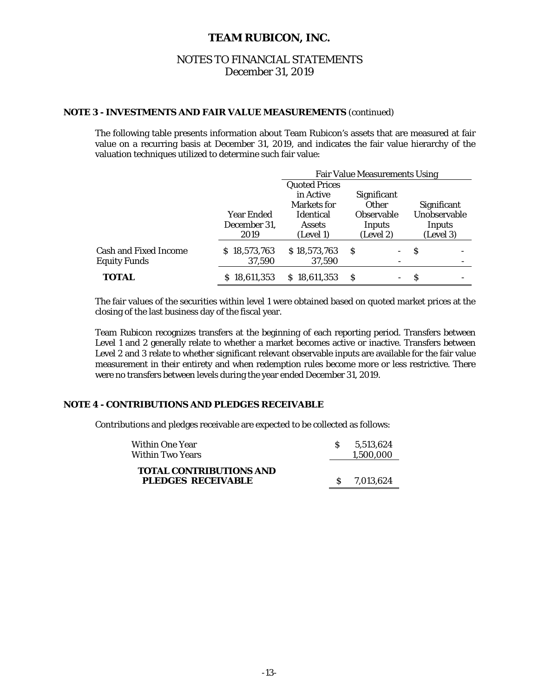## NOTES TO FINANCIAL STATEMENTS December 31, 2019

## **NOTE 3 - INVESTMENTS AND FAIR VALUE MEASUREMENTS** (continued)

 The following table presents information about Team Rubicon's assets that are measured at fair value on a recurring basis at December 31, 2019, and indicates the fair value hierarchy of the valuation techniques utilized to determine such fair value:

|                              |                   | <b>Fair Value Measurements Using</b> |                    |                          |   |                    |  |
|------------------------------|-------------------|--------------------------------------|--------------------|--------------------------|---|--------------------|--|
|                              |                   | <b>Quoted Prices</b>                 |                    |                          |   |                    |  |
|                              |                   | in Active                            | <b>Significant</b> |                          |   |                    |  |
|                              |                   | Markets for                          | <b>Other</b>       |                          |   | <b>Significant</b> |  |
|                              | <b>Year Ended</b> | <b>Identical</b>                     | <b>Observable</b>  |                          |   | Unobservable       |  |
|                              | December 31,      | <b>Assets</b>                        |                    | Inputs                   |   | Inputs             |  |
|                              | 2019              | (Level 1)                            | (Level 2)          |                          |   | (Level 3)          |  |
| <b>Cash and Fixed Income</b> | \$18,573,763      | \$18,573,763                         | S                  | $\overline{\phantom{0}}$ | S |                    |  |
| <b>Equity Funds</b>          | 37,590            | 37,590                               |                    |                          |   |                    |  |
| <b>TOTAL</b>                 | \$18,611,353      | \$18,611,353                         | S                  |                          | S |                    |  |

 The fair values of the securities within level 1 were obtained based on quoted market prices at the closing of the last business day of the fiscal year.

 Team Rubicon recognizes transfers at the beginning of each reporting period. Transfers between Level 1 and 2 generally relate to whether a market becomes active or inactive. Transfers between Level 2 and 3 relate to whether significant relevant observable inputs are available for the fair value measurement in their entirety and when redemption rules become more or less restrictive. There were no transfers between levels during the year ended December 31, 2019.

## **NOTE 4 - CONTRIBUTIONS AND PLEDGES RECEIVABLE**

Contributions and pledges receivable are expected to be collected as follows:

| Within One Year<br>Within Two Years                         | S. | 5.513.624<br>1.500.000 |
|-------------------------------------------------------------|----|------------------------|
| <b>TOTAL CONTRIBUTIONS AND</b><br><b>PLEDGES RECEIVABLE</b> |    | S 7.013.624            |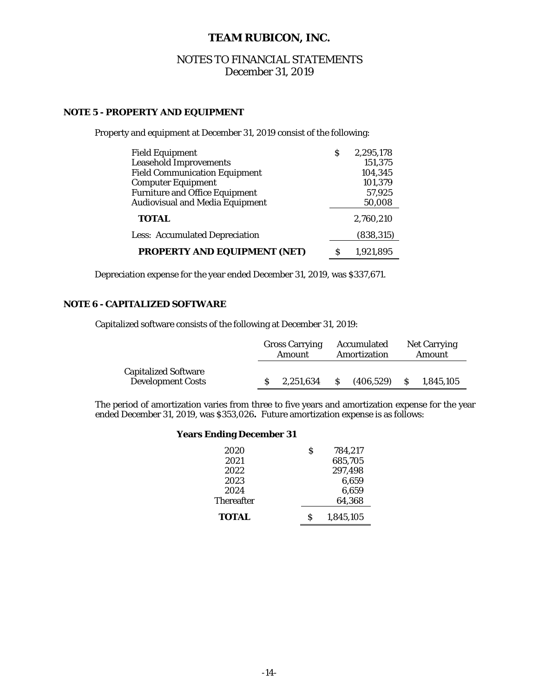## NOTES TO FINANCIAL STATEMENTS December 31, 2019

## **NOTE 5 - PROPERTY AND EQUIPMENT**

Property and equipment at December 31, 2019 consist of the following:

| <b>Field Equipment</b>                 | S | 2,295,178  |
|----------------------------------------|---|------------|
| <b>Leasehold Improvements</b>          |   | 151,375    |
| <b>Field Communication Equipment</b>   |   | 104,345    |
| <b>Computer Equipment</b>              |   | 101,379    |
| <b>Furniture and Office Equipment</b>  |   | 57,925     |
| <b>Audiovisual and Media Equipment</b> |   | 50,008     |
| <b>TOTAL</b>                           |   | 2,760,210  |
| <b>Less: Accumulated Depreciation</b>  |   | (838, 315) |
| <b>PROPERTY AND EQUIPMENT (NET)</b>    | S | 1,921,895  |

Depreciation expense for the year ended December 31, 2019, was \$337,671.

## **NOTE 6 - CAPITALIZED SOFTWARE**

Capitalized software consists of the following at December 31, 2019:

|                                                         | <b>Gross Carrying</b><br>Amount |           |    | Accumulated<br>Amortization | Net Carrying<br>Amount |           |  |
|---------------------------------------------------------|---------------------------------|-----------|----|-----------------------------|------------------------|-----------|--|
| <b>Capitalized Software</b><br><b>Development Costs</b> |                                 | 2.251.634 | -S | (406, 529)                  | -S                     | 1,845,105 |  |

The period of amortization varies from three to five years and amortization expense for the year ended December 31, 2019, was \$353,026**.** Future amortization expense is as follows:

#### **Years Ending December 31**

| 2020              | S | 784.217   |
|-------------------|---|-----------|
| 2021              |   | 685,705   |
| 2022              |   | 297,498   |
| 2023              |   | 6,659     |
| 2024              |   | 6,659     |
| <b>Thereafter</b> |   | 64,368    |
| TOTAL             | S | 1,845,105 |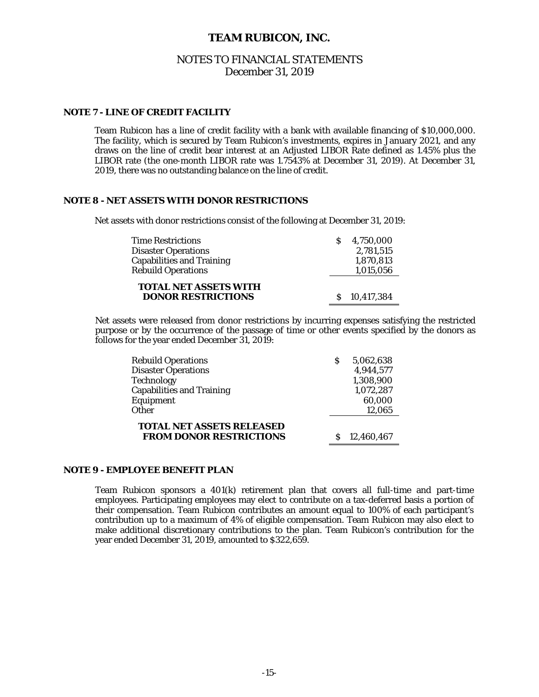## NOTES TO FINANCIAL STATEMENTS December 31, 2019

#### **NOTE 7 - LINE OF CREDIT FACILITY**

 Team Rubicon has a line of credit facility with a bank with available financing of \$10,000,000. The facility, which is secured by Team Rubicon's investments, expires in January 2021, and any draws on the line of credit bear interest at an Adjusted LIBOR Rate defined as 1.45% plus the LIBOR rate (the one-month LIBOR rate was 1.7543% at December 31, 2019). At December 31, 2019, there was no outstanding balance on the line of credit.

## **NOTE 8 - NET ASSETS WITH DONOR RESTRICTIONS**

Net assets with donor restrictions consist of the following at December 31, 2019:

| <b>Time Restrictions</b>                                  | 4,750,000    |
|-----------------------------------------------------------|--------------|
| <b>Disaster Operations</b>                                | 2,781,515    |
| <b>Capabilities and Training</b>                          | 1,870,813    |
| <b>Rebuild Operations</b>                                 | 1,015,056    |
| <b>TOTAL NET ASSETS WITH</b><br><b>DONOR RESTRICTIONS</b> | \$10,417,384 |

Net assets were released from donor restrictions by incurring expenses satisfying the restricted purpose or by the occurrence of the passage of time or other events specified by the donors as follows for the year ended December 31, 2019:

| <b>Rebuild Operations</b>                                          | 5,062,638  |
|--------------------------------------------------------------------|------------|
| <b>Disaster Operations</b>                                         | 4,944,577  |
| <b>Technology</b>                                                  | 1,308,900  |
| <b>Capabilities and Training</b>                                   | 1,072,287  |
| Equipment                                                          | 60,000     |
| <b>Other</b>                                                       | 12,065     |
| <b>TOTAL NET ASSETS RELEASED</b><br><b>FROM DONOR RESTRICTIONS</b> | 12,460,467 |

#### **NOTE 9 - EMPLOYEE BENEFIT PLAN**

Team Rubicon sponsors a 401(k) retirement plan that covers all full-time and part-time employees. Participating employees may elect to contribute on a tax-deferred basis a portion of their compensation. Team Rubicon contributes an amount equal to 100% of each participant's contribution up to a maximum of 4% of eligible compensation. Team Rubicon may also elect to make additional discretionary contributions to the plan. Team Rubicon's contribution for the year ended December 31, 2019, amounted to \$322,659.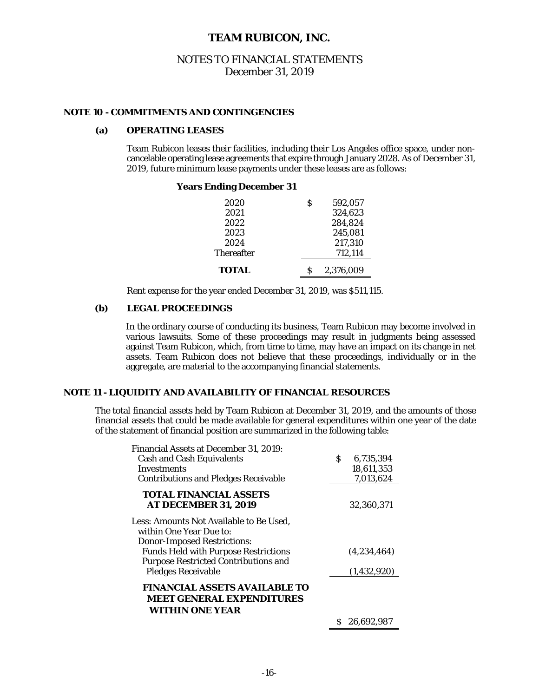## NOTES TO FINANCIAL STATEMENTS December 31, 2019

#### **NOTE 10 - COMMITMENTS AND CONTINGENCIES**

## **(a) OPERATING LEASES**

Team Rubicon leases their facilities, including their Los Angeles office space, under noncancelable operating lease agreements that expire through January 2028. As of December 31, 2019, future minimum lease payments under these leases are as follows:

#### **Years Ending December 31**

| 2020              | S | 592.057   |
|-------------------|---|-----------|
| 2021              |   | 324,623   |
| 2022              |   | 284,824   |
| 2023              |   | 245,081   |
| 2024              |   | 217,310   |
| <b>Thereafter</b> |   | 712,114   |
| <b>TOTAL</b>      | S | 2,376,009 |

Rent expense for the year ended December 31, 2019, was \$511,115.

#### **(b) LEGAL PROCEEDINGS**

 In the ordinary course of conducting its business, Team Rubicon may become involved in various lawsuits. Some of these proceedings may result in judgments being assessed against Team Rubicon, which, from time to time, may have an impact on its change in net assets. Team Rubicon does not believe that these proceedings, individually or in the aggregate, are material to the accompanying financial statements.

#### **NOTE 11 - LIQUIDITY AND AVAILABILITY OF FINANCIAL RESOURCES**

The total financial assets held by Team Rubicon at December 31, 2019, and the amounts of those financial assets that could be made available for general expenditures within one year of the date of the statement of financial position are summarized in the following table:

| Financial Assets at December 31, 2019:<br><b>Cash and Cash Equivalents</b><br><b>Investments</b><br><b>Contributions and Pledges Receivable</b>         | S. | 6,735,394<br>18,611,353<br>7,013,624 |
|---------------------------------------------------------------------------------------------------------------------------------------------------------|----|--------------------------------------|
| TOTAL FINANCIAL ASSETS<br><b>AT DECEMBER 31, 2019</b>                                                                                                   |    | 32.360.371                           |
| Less: Amounts Not Available to Be Used.<br>within One Year Due to:<br><b>Donor-Imposed Restrictions:</b><br><b>Funds Held with Purpose Restrictions</b> |    | (4.234.464)                          |
| <b>Purpose Restricted Contributions and</b><br><b>Pledges Receivable</b>                                                                                |    | (1,432,920)                          |
| FINANCIAL ASSETS AVAILABLE TO<br><b>MEET GENERAL EXPENDITURES</b><br>WITHIN ONE YEAR                                                                    |    |                                      |
|                                                                                                                                                         |    | 26,692,987                           |